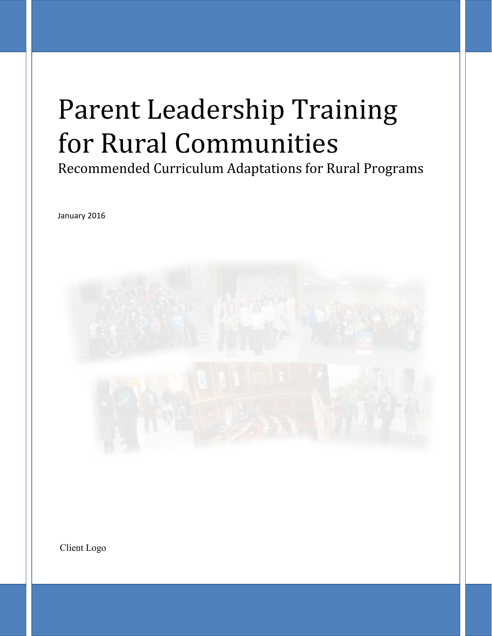# Parent Leadership Training for Rural Communities

Recommended Curriculum Adaptations for Rural Programs

January 2016



Client Logo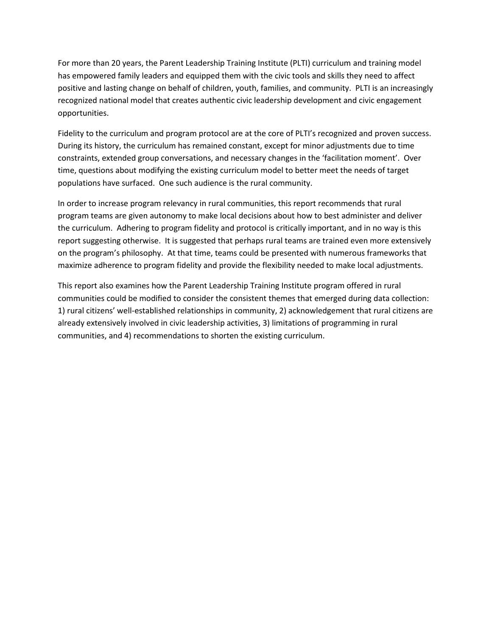For more than 20 years, the Parent Leadership Training Institute (PLTI) curriculum and training model has empowered family leaders and equipped them with the civic tools and skills they need to affect positive and lasting change on behalf of children, youth, families, and community. PLTI is an increasingly recognized national model that creates authentic civic leadership development and civic engagement opportunities.

Fidelity to the curriculum and program protocol are at the core of PLTI's recognized and proven success. During its history, the curriculum has remained constant, except for minor adjustments due to time constraints, extended group conversations, and necessary changes in the 'facilitation moment'. Over time, questions about modifying the existing curriculum model to better meet the needs of target populations have surfaced. One such audience is the rural community.

In order to increase program relevancy in rural communities, this report recommends that rural program teams are given autonomy to make local decisions about how to best administer and deliver the curriculum. Adhering to program fidelity and protocol is critically important, and in no way is this report suggesting otherwise. It is suggested that perhaps rural teams are trained even more extensively on the program's philosophy. At that time, teams could be presented with numerous frameworks that maximize adherence to program fidelity and provide the flexibility needed to make local adjustments.

This report also examines how the Parent Leadership Training Institute program offered in rural communities could be modified to consider the consistent themes that emerged during data collection: 1) rural citizens' well-established relationships in community, 2) acknowledgement that rural citizens are already extensively involved in civic leadership activities, 3) limitations of programming in rural communities, and 4) recommendations to shorten the existing curriculum.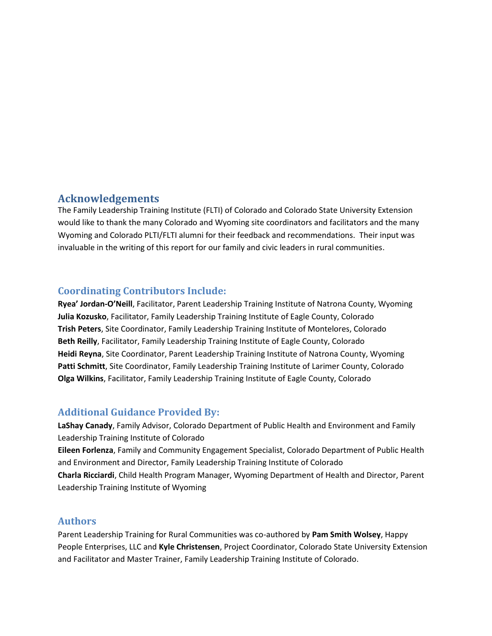#### **Acknowledgements**

The Family Leadership Training Institute (FLTI) of Colorado and Colorado State University Extension would like to thank the many Colorado and Wyoming site coordinators and facilitators and the many Wyoming and Colorado PLTI/FLTI alumni for their feedback and recommendations. Their input was invaluable in the writing of this report for our family and civic leaders in rural communities.

### **Coordinating Contributors Include:**

**Ryea' Jordan-O'Neill**, Facilitator, Parent Leadership Training Institute of Natrona County, Wyoming **Julia Kozusko**, Facilitator, Family Leadership Training Institute of Eagle County, Colorado **Trish Peters**, Site Coordinator, Family Leadership Training Institute of Montelores, Colorado **Beth Reilly**, Facilitator, Family Leadership Training Institute of Eagle County, Colorado **Heidi Reyna**, Site Coordinator, Parent Leadership Training Institute of Natrona County, Wyoming **Patti Schmitt**, Site Coordinator, Family Leadership Training Institute of Larimer County, Colorado **Olga Wilkins**, Facilitator, Family Leadership Training Institute of Eagle County, Colorado

## **Additional Guidance Provided By:**

**LaShay Canady**, Family Advisor, Colorado Department of Public Health and Environment and Family Leadership Training Institute of Colorado **Eileen Forlenza**, Family and Community Engagement Specialist, Colorado Department of Public Health and Environment and Director, Family Leadership Training Institute of Colorado **Charla Ricciardi**, Child Health Program Manager, Wyoming Department of Health and Director, Parent Leadership Training Institute of Wyoming

#### **Authors**

Parent Leadership Training for Rural Communities was co-authored by **Pam Smith Wolsey**, Happy People Enterprises, LLC and **Kyle Christensen**, Project Coordinator, Colorado State University Extension and Facilitator and Master Trainer, Family Leadership Training Institute of Colorado.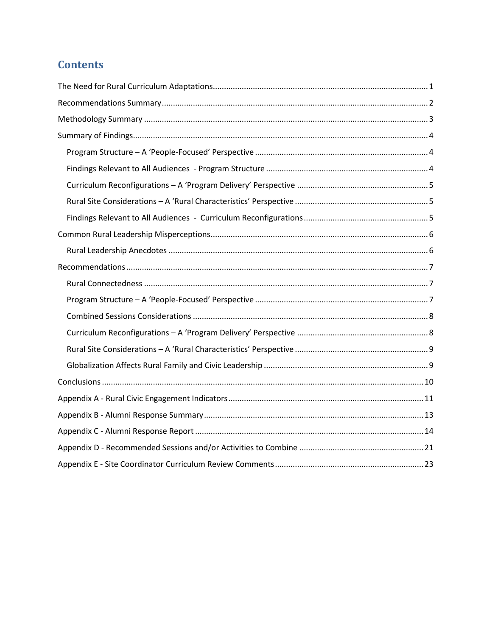# **Contents**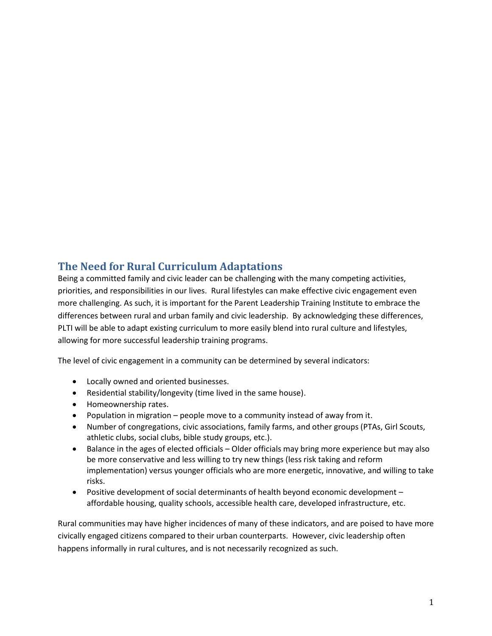## **The Need for Rural Curriculum Adaptations**

Being a committed family and civic leader can be challenging with the many competing activities, priorities, and responsibilities in our lives. Rural lifestyles can make effective civic engagement even more challenging. As such, it is important for the Parent Leadership Training Institute to embrace the differences between rural and urban family and civic leadership. By acknowledging these differences, PLTI will be able to adapt existing curriculum to more easily blend into rural culture and lifestyles, allowing for more successful leadership training programs.

The level of civic engagement in a community can be determined by several indicators:

- Locally owned and oriented businesses.
- Residential stability/longevity (time lived in the same house).
- Homeownership rates.
- Population in migration  $-$  people move to a community instead of away from it.
- Number of congregations, civic associations, family farms, and other groups (PTAs, Girl Scouts, athletic clubs, social clubs, bible study groups, etc.).
- Balance in the ages of elected officials Older officials may bring more experience but may also be more conservative and less willing to try new things (less risk taking and reform implementation) versus younger officials who are more energetic, innovative, and willing to take risks.
- Positive development of social determinants of health beyond economic development  $$ affordable housing, quality schools, accessible health care, developed infrastructure, etc.

Rural communities may have higher incidences of many of these indicators, and are poised to have more civically engaged citizens compared to their urban counterparts. However, civic leadership often happens informally in rural cultures, and is not necessarily recognized as such.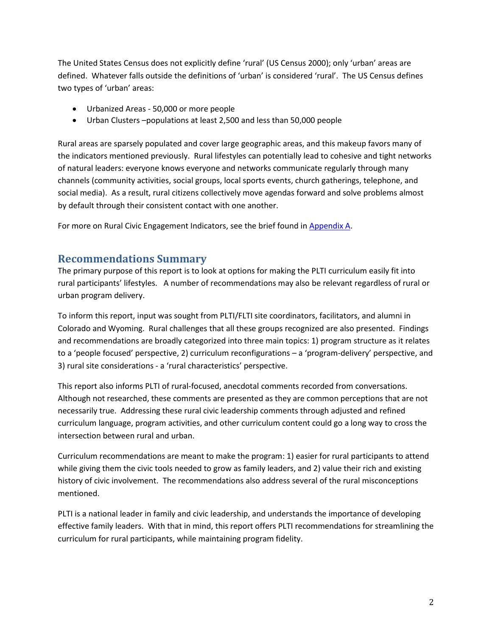The United States Census does not explicitly define 'rural' (US Census 2000); only 'urban' areas are defined. Whatever falls outside the definitions of 'urban' is considered 'rural'. The US Census defines two types of 'urban' areas:

- Urbanized Areas 50,000 or more people
- Urban Clusters –populations at least 2,500 and less than 50,000 people

Rural areas are sparsely populated and cover large geographic areas, and this makeup favors many of the indicators mentioned previously. Rural lifestyles can potentially lead to cohesive and tight networks of natural leaders: everyone knows everyone and networks communicate regularly through many channels (community activities, social groups, local sports events, church gatherings, telephone, and social media). As a result, rural citizens collectively move agendas forward and solve problems almost by default through their consistent contact with one another.

For more on Rural Civic Engagement Indicators, see the brief found in Appendix A.

## **Recommendations Summary**

The primary purpose of this report is to look at options for making the PLTI curriculum easily fit into rural participants' lifestyles. A number of recommendations may also be relevant regardless of rural or urban program delivery.

To inform this report, input was sought from PLTI/FLTI site coordinators, facilitators, and alumni in Colorado and Wyoming. Rural challenges that all these groups recognized are also presented. Findings and recommendations are broadly categorized into three main topics: 1) program structure as it relates to a 'people focused' perspective, 2) curriculum reconfigurations – a 'program-delivery' perspective, and 3) rural site considerations - a 'rural characteristics' perspective.

This report also informs PLTI of rural-focused, anecdotal comments recorded from conversations. Although not researched, these comments are presented as they are common perceptions that are not necessarily true. Addressing these rural civic leadership comments through adjusted and refined curriculum language, program activities, and other curriculum content could go a long way to cross the intersection between rural and urban.

Curriculum recommendations are meant to make the program: 1) easier for rural participants to attend while giving them the civic tools needed to grow as family leaders, and 2) value their rich and existing history of civic involvement. The recommendations also address several of the rural misconceptions mentioned.

PLTI is a national leader in family and civic leadership, and understands the importance of developing effective family leaders. With that in mind, this report offers PLTI recommendations for streamlining the curriculum for rural participants, while maintaining program fidelity.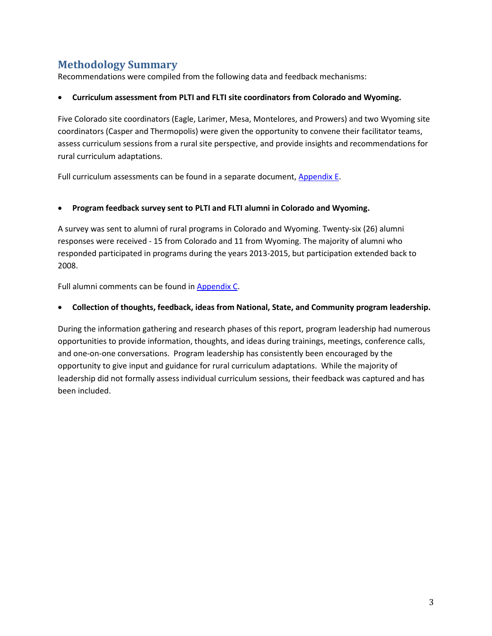## **Methodology Summary**

Recommendations were compiled from the following data and feedback mechanisms:

#### x **Curriculum assessment from PLTI and FLTI site coordinators from Colorado and Wyoming.**

Five Colorado site coordinators (Eagle, Larimer, Mesa, Montelores, and Prowers) and two Wyoming site coordinators (Casper and Thermopolis) were given the opportunity to convene their facilitator teams, assess curriculum sessions from a rural site perspective, and provide insights and recommendations for rural curriculum adaptations.

Full curriculum assessments can be found in a separate document, Appendix E.

#### x **Program feedback survey sent to PLTI and FLTI alumni in Colorado and Wyoming.**

A survey was sent to alumni of rural programs in Colorado and Wyoming. Twenty-six (26) alumni responses were received - 15 from Colorado and 11 from Wyoming. The majority of alumni who responded participated in programs during the years 2013-2015, but participation extended back to 2008.

Full alumni comments can be found in Appendix C.

#### x **Collection of thoughts, feedback, ideas from National, State, and Community program leadership.**

During the information gathering and research phases of this report, program leadership had numerous opportunities to provide information, thoughts, and ideas during trainings, meetings, conference calls, and one-on-one conversations. Program leadership has consistently been encouraged by the opportunity to give input and guidance for rural curriculum adaptations. While the majority of leadership did not formally assess individual curriculum sessions, their feedback was captured and has been included.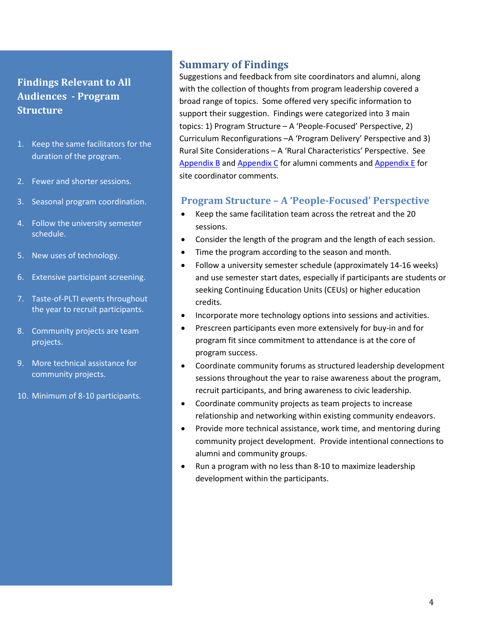## **Findings Relevant to All Audiences - Program Structure**

- 1. Keep the same facilitators for the duration of the program.
- 2. Fewer and shorter sessions.
- 3. Seasonal program coordination.
- 4. Follow the university semester schedule.
- 5. New uses of technology.
- 6. Extensive participant screening.
- 7. Taste-of-PLTI events throughout the year to recruit participants.
- 8. Community projects are team projects.
- 9. More technical assistance for community projects.
- 10. Minimum of 8-10 participants.

## **Summary of Findings**

Suggestions and feedback from site coordinators and alumni, along with the collection of thoughts from program leadership covered a broad range of topics. Some offered very specific information to support their suggestion. Findings were categorized into 3 main topics: 1) Program Structure – A 'People-Focused' Perspective, 2) Curriculum Reconfigurations –A 'Program Delivery' Perspective and 3) Rural Site Considerations – A 'Rural Characteristics' Perspective. See Appendix B and Appendix C for alumni comments and Appendix E for site coordinator comments.

#### **Program Structure – A 'People-Focused' Perspective**

- $\bullet$  Keep the same facilitation team across the retreat and the 20 sessions.
- Consider the length of the program and the length of each session.
- Time the program according to the season and month.
- Follow a university semester schedule (approximately 14-16 weeks) and use semester start dates, especially if participants are students or seeking Continuing Education Units (CEUs) or higher education credits.
- Incorporate more technology options into sessions and activities.
- Prescreen participants even more extensively for buy-in and for program fit since commitment to attendance is at the core of program success.
- Coordinate community forums as structured leadership development sessions throughout the year to raise awareness about the program, recruit participants, and bring awareness to civic leadership.
- Coordinate community projects as team projects to increase relationship and networking within existing community endeavors.
- Provide more technical assistance, work time, and mentoring during community project development. Provide intentional connections to alumni and community groups.
- Run a program with no less than 8-10 to maximize leadership development within the participants.